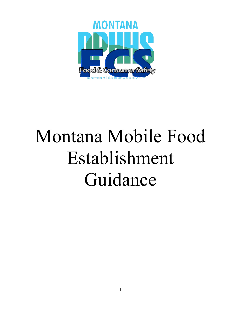

# Montana Mobile Food Establishment Guidance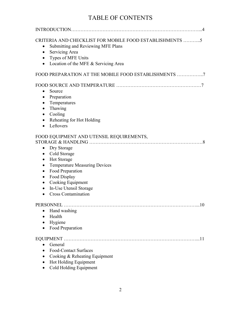# TABLE OF CONTENTS

| CRITERIA AND CHECKLIST FOR MOBILE FOOD ESTABLISHMENTS 5<br>Submitting and Reviewing MFE Plans<br>$\bullet$<br>Servicing Area<br>$\bullet$<br>Types of MFE Units<br>Location of the MFE & Servicing Area<br>$\bullet$                                                                                                                                                |
|---------------------------------------------------------------------------------------------------------------------------------------------------------------------------------------------------------------------------------------------------------------------------------------------------------------------------------------------------------------------|
| FOOD PREPARATION AT THE MOBILE FOOD ESTABLISHMENTS 7                                                                                                                                                                                                                                                                                                                |
| Source<br>$\bullet$<br>Preparation<br>$\bullet$<br>Temperatures<br>$\bullet$<br>Thawing<br>$\bullet$<br>Cooling<br>$\bullet$<br>Reheating for Hot Holding<br>$\bullet$<br>Leftovers                                                                                                                                                                                 |
| FOOD EQUIPMENT AND UTENSIL REQUIREMENTS,<br><b>Dry Storage</b><br>$\bullet$<br>Cold Storage<br>$\bullet$<br>Hot Storage<br>$\bullet$<br><b>Temperature Measuring Devices</b><br>$\bullet$<br>Food Preparation<br>٠<br>Food Display<br>$\bullet$<br>Cooking Equipment<br>$\bullet$<br>In-Use Utensil Storage<br>$\bullet$<br><b>Cross Contamination</b><br>$\bullet$ |
| PERSONNEL<br>10<br>Hand washing<br>Health<br>$\bullet$<br>Hygiene<br>Food Preparation                                                                                                                                                                                                                                                                               |
| General<br><b>Food-Contact Surfaces</b><br>Cooking & Reheating Equipment<br>Hot Holding Equipment<br>Cold Holding Equipment                                                                                                                                                                                                                                         |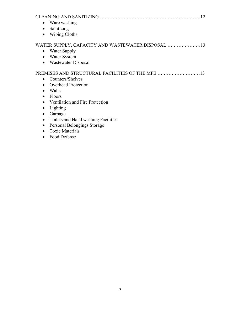| Ware washing<br>Sanitizing<br>$\bullet$<br><b>Wiping Cloths</b><br>$\bullet$                                                                                                                                                                                                       | 12 |
|------------------------------------------------------------------------------------------------------------------------------------------------------------------------------------------------------------------------------------------------------------------------------------|----|
| WATER SUPPLY, CAPACITY AND WASTEWATER DISPOSAL<br>Water Supply<br>Water System<br>$\bullet$<br>Wastewater Disposal                                                                                                                                                                 |    |
| Counters/Shelves<br><b>Overhead Protection</b><br>Walls<br>Floors<br>Ventilation and Fire Protection<br>$\bullet$<br>Lighting<br>$\bullet$<br>Garbage<br>Toilets and Hand washing Facilities<br>Personal Belongings Storage<br>$\bullet$<br><b>Toxic Materials</b><br>Food Defense | 13 |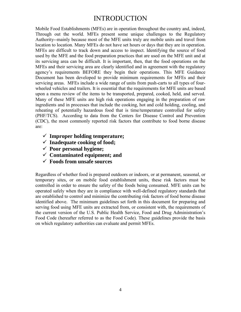# INTRODUCTION

Mobile Food Establishments (MFEs) are in operation throughout the country and, indeed, Through out the world. MFEs present some unique challenges to the Regulatory Authority--mainly because most of the MFE units truly are mobile units and travel from location to location. Many MFEs do not have set hours or days that they are in operation. MFEs are difficult to track down and access to inspect. Identifying the source of food used by the MFE and the food preparation practices that are used on the MFE unit and at its servicing area can be difficult. It is important, then, that the food operations on the MFEs and their servicing area are clearly identified and in agreement with the regulatory agency's requirements BEFORE they begin their operations. This MFE Guidance Document has been developed to provide minimum requirements for MFEs and their servicing areas. MFEs include a wide range of units from push-carts to all types of fourwheeled vehicles and trailers. It is essential that the requirements for MFE units are based upon a menu review of the items to be transported, prepared, cooked, held, and served. Many of these MFE units are high risk operations engaging in the preparation of raw ingredients and in processes that include the cooking, hot and cold holding, cooling, and reheating of potentially hazardous food that is time/temperature controlled for safety (PHF/TCS). According to data from the Centers for Disease Control and Prevention (CDC), the most commonly reported risk factors that contribute to food borne disease are:

- **Improper holding temperature;**
- **Inadequate cooking of food;**
- **Poor personal hygiene;**
- **Contaminated equipment; and**
- **Foods from unsafe sources**

Regardless of whether food is prepared outdoors or indoors, or at permanent, seasonal, or temporary sites, or on mobile food establishment units, these risk factors must be controlled in order to ensure the safety of the foods being consumed. MFE units can be operated safely when they are in compliance with well-defined regulatory standards that are established to control and minimize the contributing risk factors of food borne disease identified above. The minimum guidelines set forth in this document for preparing and serving food using MFE units are extracted from, or consistent with, the requirements of the current version of the U.S. Public Health Service, Food and Drug Administration's Food Code (hereafter referred to as the Food Code). These guidelines provide the basis on which regulatory authorities can evaluate and permit MFEs.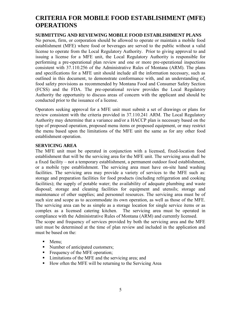# **CRITERIA FOR MOBILE FOOD ESTABLISHMENT (MFE) OPERATIONS**

#### **SUBMITTING AND REVIEWING MOBILE FOOD ESTABLISHMENT PLANS**

No person, firm, or corporation should be allowed to operate or maintain a mobile food establishment (MFE) where food or beverages are served to the public without a valid license to operate from the Local Regulatory Authority. Prior to giving approval to and issuing a license for a MFE unit, the Local Regulatory Authority is responsible for performing a pre-operational plan review and one or more pre-operational inspections consistent with 37.110.256 of the Administrative Rules of Montana (ARM). The plans and specifications for a MFE unit should include all the information necessary, such as outlined in this document, to demonstrate conformance with, and an understanding of, food safety provisions as recommended by Montana Food and Consumer Safety Section (FCSS) and the FDA. The pre-operational review provides the Local Regulatory Authority the opportunity to discuss areas of concern with the applicant and should be conducted prior to the issuance of a license.

Operators seeking approval for a MFE unit must submit a set of drawings or plans for review consistent with the criteria provided in 37.110.241 ARM. The Local Regulatory Authority may determine that a variance and/or a HACCP plan is necessary based on the type of proposed operation, proposed menu items or proposed equipment, or may restrict the menu based upon the limitations of the MFE unit the same as for any other food establishment operation.

#### **SERVICING AREA**

The MFE unit must be operated in conjunction with a licensed, fixed-location food establishment that will be the servicing area for the MFE unit. The servicing area shall be a fixed facility – not a temporary establishment, a permanent outdoor food establishment, or a mobile type establishment. The servicing area must have on-site hand washing facilities. The servicing area may provide a variety of services to the MFE such as: storage and preparation facilities for food products (including refrigeration and cooking facilities); the supply of potable water; the availability of adequate plumbing and waste disposal; storage and cleaning facilities for equipment and utensils; storage and maintenance of other supplies; and personnel resources. The servicing area must be of such size and scope as to accommodate its own operation, as well as those of the MFE. The servicing area can be as simple as a storage location for single service items or as complex as a licensed catering kitchen. The servicing area must be operated in compliance with the Administrative Rules of Montana (ARM) and currently licensed. The scope and frequency of services provided by both the servicing area and the MFE unit must be determined at the time of plan review and included in the application and must be based on the:

- Menu;
- Number of anticipated customers;
- Frequency of the MFE operation;
- **I** Limitations of the MFE and the servicing area; and
- How often the MFE will be returning to the Servicing Area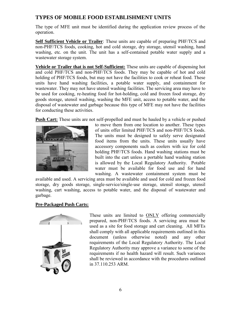# **TYPES OF MOBILE FOOD ESTABLISHMENT UNITS**

The type of MFE unit must be identified during the application review process of the operation.

**Self Sufficient Vehicle or Trailer**: These units are capable of preparing PHF/TCS and non-PHF/TCS foods, cooking, hot and cold storage, dry storage, utensil washing, hand washing, etc. on the unit. The unit has a self-contained potable water supply and a wastewater storage system.

**Vehicle or Trailer that is not Self-Sufficient:** These units are capable of dispensing hot and cold PHF/TCS and non-PHF/TCS foods. They may be capable of hot and cold holding of PHF/TCS foods, but may not have the facilities to cook or reheat food. These units have hand washing facilities, a potable water supply, and containment for wastewater. They may not have utensil washing facilities. The servicing area may have to be used for cooking, re-heating food for hot-holding, cold and frozen food storage, dry goods storage, utensil washing, washing the MFE unit, access to potable water, and the disposal of wastewater and garbage because this type of MFE may not have the facilities for conducting these activities.

**Push Cart:** These units are not self-propelled and must be hauled by a vehicle or pushed



to move them from one location to another. These types of units offer limited PHF/TCS and non-PHF/TCS foods. The units must be designed to safely serve designated food items from the units. These units usually have accessory components such as coolers with ice for cold holding PHF/TCS foods. Hand washing stations must be built into the cart unless a portable hand washing station is allowed by the Local Regulatory Authority. Potable water must be available for food use and for hand washing. A wastewater containment system must be

available and used. A servicing area must be available and used for cold and frozen food storage, dry goods storage, single-service/single-use storage, utensil storage, utensil washing, cart washing, access to potable water, and the disposal of wastewater and garbage.

#### **Pre-Packaged Push Carts:**



These units are limited to ONLY offering commercially prepared, non-PHF/TCS foods. A servicing area must be used as a site for food storage and cart cleaning. All MFEs shall comply with all applicable requirements outlined in this document (unless otherwise noted) and any other requirements of the Local Regulatory Authority. The Local Regulatory Authority may approve a variance to some of the requirements if no health hazard will result. Such variances shall be reviewed in accordance with the procedures outlined in 37.110.253 ARM.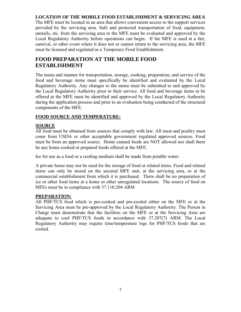#### **LOCATION OF THE MOBILE FOOD ESTABLISHMENT & SERVICING AREA**

The MFE must be located in an area that allows convenient access to the support services provided by the servicing area. Safe and protected transportation of food, equipment, utensils, etc. from the servicing area to the MFE must be evaluated and approved by the Local Regulatory Authority before operations can begin. If the MFE is used at a fair, carnival, or other event where it does not or cannot return to the servicing area, the MFE must be licensed and regulated as a Temporary Food Establishment.

# **FOOD PREPARATION AT THE MOBILE FOOD ESTABLISHMENT**

The menu and manner for transportation, storage, cooking, preparation, and service of the food and beverage items must specifically be identified and evaluated by the Local Regulatory Authority. Any changes to the menu must be submitted to and approved by the Local Regulatory Authority prior to their service. All food and beverage items to be offered at the MFE must be identified and approved by the Local Regulatory Authority during the application process and prior to an evaluation being conducted of the structural components of the MFE.

#### **FOOD SOURCE AND TEMPERATURE:**

#### **SOURCE**

All food must be obtained from sources that comply with law. All meat and poultry must come from USDA or other acceptable government regulated approved sources. Food must be from an approved source. Home canned foods are NOT allowed nor shall there be any home cooked or prepared foods offered at the MFE.

Ice for use as a food or a cooling medium shall be made from potable water.

A private home may not be used for the storage of food or related items. Food and related items can only be stored on the secured MFE unit, at the servicing area, or at the commercial establishment from which it is purchased. There shall be no preparation of ice or other food items at a home or other unregulated locations. The source of food on MFEs must be in compliance with 37.110.204 ARM

#### **PREPARATION:**

All PHF/TCS food which is pre-cooked and pre-cooled either on the MFE or at the Servicing Area must be pre-approved by the Local Regulatory Authority. The Person in Charge must demonstrate that the facilities on the MFE or at the Servicing Area are adequate to cool PHF/TCS foods in accordance with 37.207(7) ARM. The Local Regulatory Authority may require time/temperature logs for PHF/TCS foods that are cooled.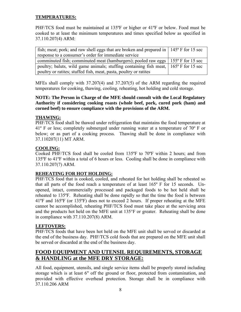#### **TEMPERATURES:**

PHF/TCS food must be maintained at 135ºF or higher or 41ºF or below. Food must be cooked to at least the minimum temperatures and times specified below as specified in 37.110.207(4) ARM:

| fish; meat; pork; and raw shell eggs that are broken and prepared in $\vert$ 145° F for 15 sec |  |
|------------------------------------------------------------------------------------------------|--|
| response to a consumer's order for immediate service                                           |  |
| comminuted fish; comminuted meat (hamburgers); pooled raw eggs $\vert$ 155° F for 15 sec       |  |
| poultry; baluts, wild game animals; stuffing containing fish meat, 165° F for 15 sec           |  |
| poultry or ratites; stuffed fish, meat, pasta, poultry or ratites                              |  |

MFEs shall comply with 37.207(4) and 37.207(5) of the ARM regarding the required temperatures for cooking, thawing, cooling, reheating, hot holding and cold storage.

#### **NOTE: The Person in Charge of the MFE should consult with the Local Regulatory Authority if considering cooking roasts (whole beef, pork, cured pork (ham) and corned beef) to ensure compliance with the provisions of the ARM.**

#### **THAWING:**

PHF/TCS food shall be thawed under refrigeration that maintains the food temperature at 41º F or less; completely submerged under running water at a temperature of 70º F or below; or as part of a cooking process. Thawing shall be done in compliance with 37.110207(11) MT ARM.

#### **COOLING:**

Cooked PHF/TCS food shall be cooled from 135ºF to 70ºF within 2 hours; and from 135ºF to 41ºF within a total of 6 hours or less. Cooling shall be done in compliance with 37.110.207(7) ARM.

## **REHEATING FOR HOT HOLDING:**

PHF/TCS food that is cooked, cooled, and reheated for hot holding shall be reheated so that all parts of the food reach a temperature of at least 165º F for 15 seconds. Unopened, intact, commercially processed and packaged foods to be hot held shall be reheated to 135ºF. Reheating shall be done rapidly so that the time the food is between 41ºF and 165ºF (or 135ºF) does not to exceed 2 hours. If proper reheating at the MFE cannot be accomplished, reheating PHF/TCS food must take place at the servicing area and the products hot held on the MFE unit at 135°F or greater. Reheating shall be done in compliance with 37.110.207(8) ARM.

#### **LEFTOVERS:**

PHF/TCS foods that have been hot held on the MFE unit shall be served or discarded at the end of the business day. PHF/TCS cold foods that are prepared on the MFE unit shall be served or discarded at the end of the business day.

# **FOOD EQUIPMENT AND UTENSIL REQUIREMENTS, STORAGE & HANDLING at the MFE DRY STORAGE:**

All food, equipment, utensils, and single service items shall be properly stored including storage which is at least 6" off the ground or floor, protected from contamination, and provided with effective overhead protection. Storage shall be in compliance with 37.110.206 ARM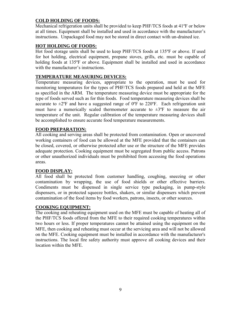#### **COLD HOLDING OF FOODS:**

Mechanical refrigeration units shall be provided to keep PHF/TCS foods at 41ºF or below at all times. Equipment shall be installed and used in accordance with the manufacturer's instructions. Unpackaged food may not be stored in direct contact with un-drained ice.

#### **HOT HOLDING OF FOODS:**

Hot food storage units shall be used to keep PHF/TCS foods at 135ºF or above. If used for hot holding, electrical equipment, propane stoves, grills, etc. must be capable of holding foods at 135ºF or above. Equipment shall be installed and used in accordance with the manufacturer's instructions.

#### **TEMPERATURE MEASURING DEVICES:**

Temperature measuring devices, appropriate to the operation, must be used for monitoring temperatures for the types of PHF/TCS foods prepared and held at the MFE as specified in the ARM. The temperature measuring device must be appropriate for the type of foods served such as for thin foods. Food temperature measuring devices shall be accurate to  $\pm 2$ <sup>o</sup>F and have a suggested range of 0<sup>o</sup>F to 220<sup>o</sup>F. Each refrigeration unit must have a numerically scaled thermometer accurate to  $\pm 3^{\circ}F$  to measure the air temperature of the unit. Regular calibration of the temperature measuring devices shall be accomplished to ensure accurate food temperature measurements.

#### **FOOD PREPARATION:**

All cooking and serving areas shall be protected from contamination. Open or uncovered working containers of food can be allowed at the MFE provided that the containers can be closed, covered, or otherwise protected after use or the structure of the MFE provides adequate protection. Cooking equipment must be segregated from public access. Patrons or other unauthorized individuals must be prohibited from accessing the food operations areas.

#### **FOOD DISPLAY:**

All food shall be protected from customer handling, coughing, sneezing or other contamination by wrapping, the use of food shields or other effective barriers. Condiments must be dispensed in single service type packaging, in pump-style dispensers, or in protected squeeze bottles, shakers, or similar dispensers which prevent contamination of the food items by food workers, patrons, insects, or other sources.

#### **COOKING EQUIPMENT:**

The cooking and reheating equipment used on the MFE must be capable of heating all of the PHF/TCS foods offered from the MFE to their required cooking temperatures within two hours or less. If proper temperatures cannot be attained using the equipment on the MFE, then cooking and reheating must occur at the servicing area and will not be allowed on the MFE. Cooking equipment must be installed in accordance with the manufacturer's instructions. The local fire safety authority must approve all cooking devices and their location within the MFE.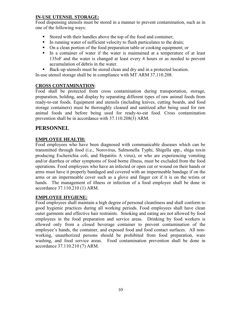#### **IN-USE UTENSIL STORAGE:**

Food dispensing utensils must be stored in a manner to prevent contamination, such as in one of the following ways:

- Stored with their handles above the top of the food and container;
- In running water of sufficient velocity to flush particulates to the drain;
- On a clean portion of the food preparation table or cooking equipment; or
- In a container of water if the water is maintained at a temperature of at least 135oF and the water is changed at least every 4 hours or as needed to prevent accumulation of debris in the water.
- Back-up utensils must be stored clean and dry and in a protected location.

In-use utensil storage shall be in compliance with MT ARM 37.110.208.

#### **CROSS CONTAMINATION**:

Food shall be protected from cross contamination during transportation, storage, preparation, holding, and display by separating different types of raw animal foods from ready-to-eat foods. Equipment and utensils (including knives, cutting boards, and food storage containers) must be thoroughly cleaned and sanitized after being used for raw animal foods and before being used for ready-to-eat food. Cross contamination prevention shall be in accordance with 37.110.208(3) ARM.

## **PERSONNEL**

#### **EMPLOYEE HEALTH:**

Food employees who have been diagnosed with communicable diseases which can be transmitted through food (i.e., Norovirus, Salmonella Typhi, Shigella spp., shiga toxin producing Escherichia coli, and Hepatitis A virus), or who are experiencing vomiting and/or diarrhea or other symptoms of food borne illness, must be excluded from the food operations. Food employees who have an infected or open cut or wound on their hands or arms must have it properly bandaged and covered with an impermeable bandage if on the arms or an impermeable cover such as a glove and finger cot if it is on the wrists or hands. The management of illness or infection of a food employee shall be done in accordance 37.110.210 (1) ARM.

#### **EMPLOYEE HYGIENE:**

Food employees shall maintain a high degree of personal cleanliness and shall conform to good hygienic practices during all working periods. Food employees shall have clean outer garments and effective hair restraints. Smoking and eating are not allowed by food employees in the food preparation and service areas. Drinking by food workers is allowed only from a closed beverage container to prevent contamination of the employee's hands, the container, and exposed food and food contact surfaces. All nonworking, unauthorized persons should be prohibited from food preparation, ware washing, and food service areas. Food contamination prevention shall be done in accordance 37.110.210 (7) ARM.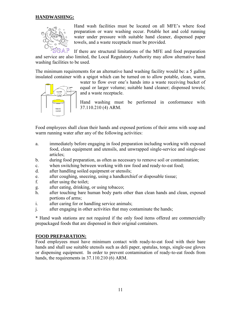#### **HANDWASHING:**



Hand wash facilities must be located on all MFE's where food preparation or ware washing occur. Potable hot and cold running water under pressure with suitable hand cleaner, dispensed paper towels, and a waste receptacle must be provided.

If there are structural limitations of the MFE and food preparation and service are also limited, the Local Regulatory Authority may allow alternative hand washing facilities to be used.

The minimum requirements for an alternative hand washing facility would be: a 5 gallon insulated container with a spigot which can be turned on to allow potable, clean, warm,



water to flow over one's hands into a waste receiving bucket of equal or larger volume; suitable hand cleaner; dispensed towels; and a waste receptacle.

Hand washing must be performed in conformance with 37.110.210 (4) ARM.

Food employees shall clean their hands and exposed portions of their arms with soap and warm running water after any of the following activities:

- a. immediately before engaging in food preparation including working with exposed food, clean equipment and utensils, and unwrapped single-service and single-use articles;
- b. during food preparation, as often as necessary to remove soil or contamination;
- c. when switching between working with raw food and ready-to-eat food;
- d. after handling soiled equipment or utensils;
- e. after coughing, sneezing, using a handkerchief or disposable tissue;
- f. after using the toilet;
- g. after eating, drinking, or using tobacco;
- h. after touching bare human body parts other than clean hands and clean, exposed portions of arms;
- i. after caring for or handling service animals;
- j. after engaging in other activities that may contaminate the hands;

\* Hand wash stations are not required if the only food items offered are commercially prepackaged foods that are dispensed in their original containers.

#### **FOOD PREPARATION:**

Food employees must have minimum contact with ready-to-eat food with their bare hands and shall use suitable utensils such as deli paper, spatulas, tongs, single-use gloves or dispensing equipment. In order to prevent contamination of ready-to-eat foods from hands, the requirements in 37.110.210 (6) ARM.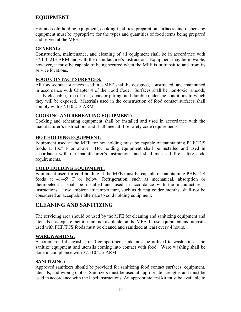# **EQUIPMENT**

Hot and cold holding equipment, cooking facilities, preparation surfaces, and dispensing equipment must be appropriate for the types and quantities of food items being prepared and served at the MFE.

#### **GENERAL:**

Construction, maintenance, and cleaning of all equipment shall be in accordance with 37.110 213 ARM and with the manufacturer's instructions. Equipment may be movable; however, it must be capable of being secured when the MFE is in transit to and from its service locations.

#### **FOOD CONTACT SURFACES:**

All food-contact surfaces used in a MFE shall be designed, constructed, and maintained in accordance with Chapter 4 of the Food Code. Surfaces shall be non-toxic, smooth, easily cleanable, free of rust, dents or pitting, and durable under the conditions to which they will be exposed. Materials used in the construction of food contact surfaces shall comply with 37.110.213 ARM.

#### **COOKING AND REHEATING EQUIPMENT:**

Cooking and reheating equipment shall be installed and used in accordance with the manufacturer's instructions and shall meet all fire safety code requirements.

#### **HOT HOLDING EQUIPMENT:**

Equipment used at the MFE for hot holding must be capable of maintaining PHF/TCS foods at 135º F or above. Hot holding equipment shall be installed and used in accordance with the manufacturer's instructions and shall meet all fire safety code requirements.

#### **COLD HOLDING EQUIPMENT:**

Equipment used for cold holding at the MFE must be capable of maintaining PHF/TCS foods at 41/45º F or below. Refrigeration, such as mechanical, absorption or thermoelectric, shall be installed and used in accordance with the manufacturer's instructions. Low ambient air temperature, such as during colder months, shall not be considered an acceptable alternate to cold holding equipment.

# **CLEANING AND SANITIZING**

The servicing area should be used by the MFE for cleaning and sanitizing equipment and utensils if adequate facilities are not available on the MFE. In use equipment and utensils used with PHF/TCS foods must be cleaned and sanitized at least every 4 hours.

#### **WAREWASHING:**

A commercial dishwasher or 3-compartment sink must be utilized to wash, rinse, and sanitize equipment and utensils coming into contact with food. Ware washing shall be done in compliance with 37.110.215 ARM.

#### **SANITIZING:**

Approved sanitizers should be provided for sanitizing food contact surfaces, equipment, utensils, and wiping cloths. Sanitizers must be used at appropriate strengths and must be used in accordance with the label instructions. An appropriate test kit must be available to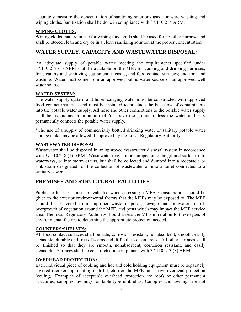accurately measure the concentration of sanitizing solutions used for ware washing and wiping cloths. Sanitization shall be done in compliance with 37.110.215 ARM.

#### **WIPING CLOTHS:**

Wiping cloths that are in use for wiping food spills shall be used for no other purpose and shall be stored clean and dry or in a clean sanitizing solution at the proper concentration.

## **WATER SUPPLY, CAPACITY AND WASTEWATER DISPOSAL:**

An adequate supply of potable water meeting the requirements specified under 37.110.217 (1) ARM shall be available on the MFE for cooking and drinking purposes; for cleaning and sanitizing equipment, utensils, and food contact surfaces; and for hand washing. Water must come from an approved public water source or an approved well water source.

#### **WATER SYSTEM:**

The water supply system and hoses carrying water must be constructed with approved food contact materials and must be installed to preclude the backflow of contaminants into the potable water supply. All hose and other connections to the potable water supply shall be maintained a minimum of 6" above the ground unless the water authority permanently connects the potable water supply.

\*The use of a supply of commercially bottled drinking water or sanitary potable water storage tanks may be allowed if approved by the Local Regulatory Authority.

#### **WASTEWATER DISPOSAL**:

Wastewater shall be disposed in an approved wastewater disposal system in accordance with 37.110.218 (1) ARM. Wastewater may not be dumped onto the ground surface, into waterways, or into storm drains, but shall be collected and dumped into a receptacle or sink drain designated for the collection of wastewater or into a toilet connected to a sanitary sewer.

# **PREMISES AND STRUCTURAL FACILITIES**

Public health risks must be evaluated when assessing a MFE. Consideration should be given to the exterior environmental factors that the MFEs may be exposed to. The MFE should be protected from improper waste disposal, sewage and rainwater runoff, overgrowth of vegetation around the MFE, and pests which may impact the MFE service area. The local Regulatory Authority should assess the MFE in relation to these types of environmental factors to determine the appropriate protection needed.

#### **COUNTERS/SHELVES:**

All food contact surfaces shall be safe, corrosion resistant, nonabsorbent, smooth, easily cleanable, durable and free of seams and difficult to clean areas. All other surfaces shall be finished so that they are smooth, nonabsorbent, corrosion resistant, and easily cleanable. Surfaces shall be constructed in compliance with 37.110.213 (3) ARM.

#### **OVERHEAD PROTECTION:**

Each individual piece of cooking and hot and cold holding equipment must be separately covered (cooker top, chafing dish lid, etc.) or the MFE must have overhead protection (ceiling). Examples of acceptable overhead protection are roofs or other permanent structures, canopies, awnings, or table-type umbrellas. Canopies and awnings are not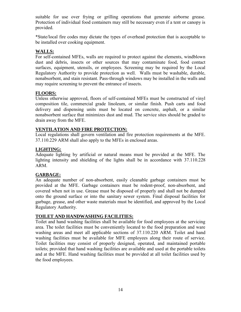suitable for use over frying or grilling operations that generate airborne grease. Protection of individual food containers may still be necessary even if a tent or canopy is provided.

\*State/local fire codes may dictate the types of overhead protection that is acceptable to be installed over cooking equipment.

#### **WALLS:**

For self-contained MFEs, walls are required to protect against the elements, windblown dust and debris, insects or other sources that may contaminate food, food contact surfaces, equipment, utensils, or employees. Screening may be required by the Local Regulatory Authority to provide protection as well. Walls must be washable, durable, nonabsorbent, and stain resistant. Pass-through windows may be installed in the walls and may require screening to prevent the entrance of insects.

#### **FLOORS:**

Unless otherwise approved, floors of self-contained MFEs must be constructed of vinyl composition tile, commercial grade linoleum, or similar finish. Push carts and food delivery and dispensing units must be located on concrete, asphalt, or a similar nonabsorbent surface that minimizes dust and mud. The service sites should be graded to drain away from the MFE.

#### **VENTILATION AND FIRE PROTECTION:**

Local regulations shall govern ventilation and fire protection requirements at the MFE. 37.110.229 ARM shall also apply to the MFEs in enclosed areas.

#### **LIGHTING:**

Adequate lighting by artificial or natural means must be provided at the MFE. The lighting intensity and shielding of the lights shall be in accordance with 37.110.228 ARM.

#### **GARBAGE:**

An adequate number of non-absorbent, easily cleanable garbage containers must be provided at the MFE. Garbage containers must be rodent-proof, non-absorbent, and covered when not in use. Grease must be disposed of properly and shall not be dumped onto the ground surface or into the sanitary sewer system. Final disposal facilities for garbage, grease, and other waste materials must be identified, and approved by the Local Regulatory Authority.

#### **TOILET AND HANDWASHING FACILITIES:**

Toilet and hand washing facilities shall be available for food employees at the servicing area. The toilet facilities must be conveniently located to the food preparation and ware washing areas and meet all applicable sections of 37.110.220 ARM. Toilet and hand washing facilities must be available for MFE employees along their route of service. Toilet facilities may consist of properly designed, operated, and maintained portable toilets; provided that hand washing facilities are available and used at the portable toilets and at the MFE. Hand washing facilities must be provided at all toilet facilities used by the food employees.